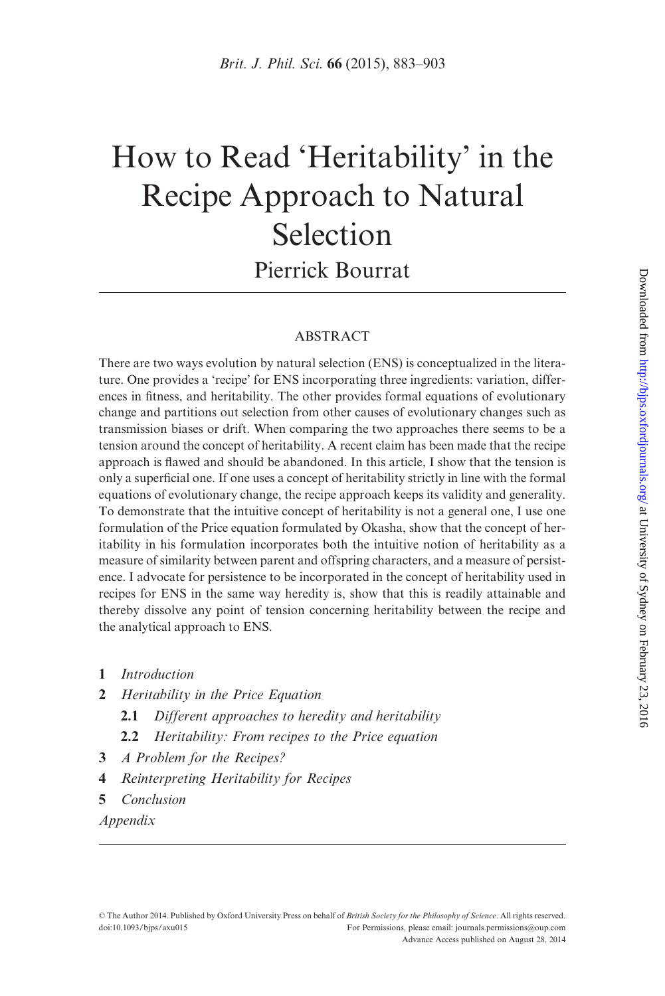# How to Read 'Heritability' in the Recipe Approach to Natural Selection Pierrick Bourrat

#### ABSTRACT

There are two ways evolution by natural selection (ENS) is conceptualized in the literature. One provides a 'recipe' for ENS incorporating three ingredients: variation, differences in fitness, and heritability. The other provides formal equations of evolutionary change and partitions out selection from other causes of evolutionary changes such as transmission biases or drift. When comparing the two approaches there seems to be a tension around the concept of heritability. A recent claim has been made that the recipe approach is flawed and should be abandoned. In this article, I show that the tension is only a superficial one. If one uses a concept of heritability strictly in line with the formal equations of evolutionary change, the recipe approach keeps its validity and generality. To demonstrate that the intuitive concept of heritability is not a general one, I use one formulation of the Price equation formulated by Okasha, show that the concept of heritability in his formulation incorporates both the intuitive notion of heritability as a measure of similarity between parent and offspring characters, and a measure of persistence. I advocate for persistence to be incorporated in the concept of heritability used in recipes for ENS in the same way heredity is, show that this is readily attainable and thereby dissolve any point of tension concerning heritability between the recipe and the analytical approach to ENS.

- 1 Introduction
- 2 Heritability in the Price Equation
	- 2.1 Different approaches to heredity and heritability
	- 2.2 Heritability: From recipes to the Price equation
- 3 A Problem for the Recipes?
- 4 Reinterpreting Heritability for Recipes
- 5 Conclusion

Appendix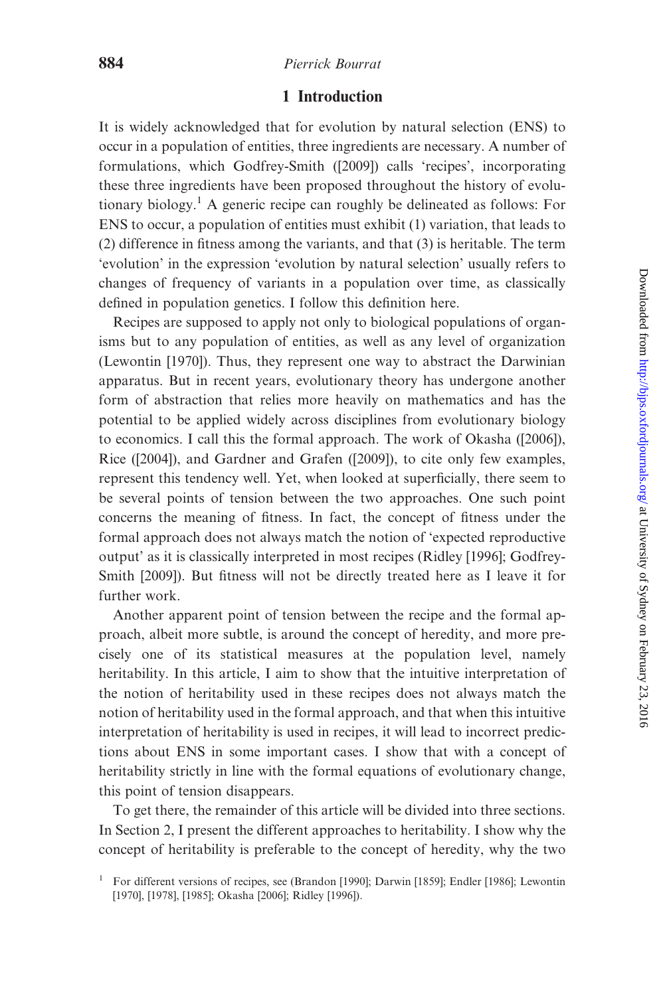#### 1 Introduction

It is widely acknowledged that for evolution by natural selection (ENS) to occur in a population of entities, three ingredients are necessary. A number of formulations, which Godfrey-Smith ([\[2009\]\)](#page-19-0) calls 'recipes', incorporating these three ingredients have been proposed throughout the history of evolutionary biology.<sup>1</sup> A generic recipe can roughly be delineated as follows: For ENS to occur, a population of entities must exhibit (1) variation, that leads to (2) difference in fitness among the variants, and that (3) is heritable. The term 'evolution' in the expression 'evolution by natural selection' usually refers to changes of frequency of variants in a population over time, as classically defined in population genetics. I follow this definition here.

Recipes are supposed to apply not only to biological populations of organisms but to any population of entities, as well as any level of organization ([Lewontin \[1970\]](#page-19-0)). Thus, they represent one way to abstract the Darwinian apparatus. But in recent years, evolutionary theory has undergone another form of abstraction that relies more heavily on mathematics and has the potential to be applied widely across disciplines from evolutionary biology to economics. I call this the formal approach. The work of Okasha ([\[2006\]\)](#page-20-0), Rice ([\[2004\]\)](#page-20-0), and Gardner and Grafen [\(\[2009\]](#page-19-0)), to cite only few examples, represent this tendency well. Yet, when looked at superficially, there seem to be several points of tension between the two approaches. One such point concerns the meaning of fitness. In fact, the concept of fitness under the formal approach does not always match the notion of 'expected reproductive output' as it is classically interpreted in most recipes [\(Ridley \[1996\]](#page-20-0); [Godfrey-](#page-19-0)[Smith \[2009\]\)](#page-19-0). But fitness will not be directly treated here as I leave it for further work.

Another apparent point of tension between the recipe and the formal approach, albeit more subtle, is around the concept of heredity, and more precisely one of its statistical measures at the population level, namely heritability. In this article, I aim to show that the intuitive interpretation of the notion of heritability used in these recipes does not always match the notion of heritability used in the formal approach, and that when this intuitive interpretation of heritability is used in recipes, it will lead to incorrect predictions about ENS in some important cases. I show that with a concept of heritability strictly in line with the formal equations of evolutionary change, this point of tension disappears.

To get there, the remainder of this article will be divided into three sections. In Section 2, I present the different approaches to heritability. I show why the concept of heritability is preferable to the concept of heredity, why the two

<sup>&</sup>lt;sup>1</sup> For different versions of recipes, see ([Brandon \[1990\]](#page-19-0); [Darwin \[1859\]; Endler \[1986\]; Lewontin](#page-19-0) [\[1970\]](#page-19-0), [\[1978\]](#page-20-0), [\[1985\]; Okasha \[2006\]](#page-20-0); [Ridley \[1996\]\)](#page-20-0).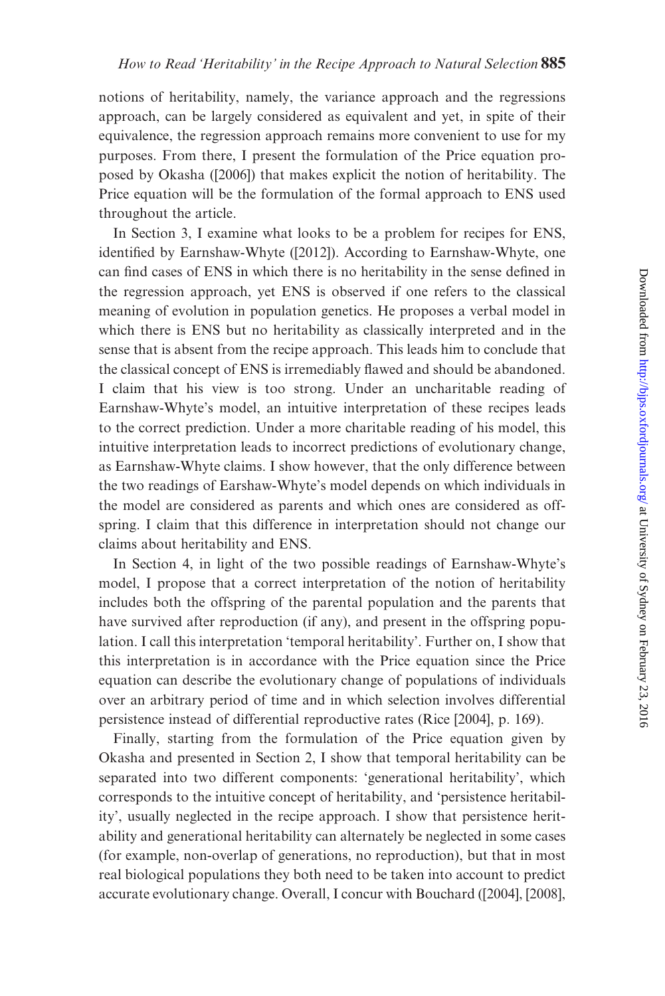notions of heritability, namely, the variance approach and the regressions approach, can be largely considered as equivalent and yet, in spite of their equivalence, the regression approach remains more convenient to use for my purposes. From there, I present the formulation of the Price equation proposed by Okasha ([\[2006\]\)](#page-20-0) that makes explicit the notion of heritability. The Price equation will be the formulation of the formal approach to ENS used throughout the article.

In Section 3, I examine what looks to be a problem for recipes for ENS, identified by Earnshaw-Whyte [\(\[2012\]](#page-19-0)). According to Earnshaw-Whyte, one can find cases of ENS in which there is no heritability in the sense defined in the regression approach, yet ENS is observed if one refers to the classical meaning of evolution in population genetics. He proposes a verbal model in which there is ENS but no heritability as classically interpreted and in the sense that is absent from the recipe approach. This leads him to conclude that the classical concept of ENS is irremediably flawed and should be abandoned. I claim that his view is too strong. Under an uncharitable reading of Earnshaw-Whyte's model, an intuitive interpretation of these recipes leads to the correct prediction. Under a more charitable reading of his model, this intuitive interpretation leads to incorrect predictions of evolutionary change, as Earnshaw-Whyte claims. I show however, that the only difference between the two readings of Earshaw-Whyte's model depends on which individuals in the model are considered as parents and which ones are considered as offspring. I claim that this difference in interpretation should not change our claims about heritability and ENS.

In Section 4, in light of the two possible readings of Earnshaw-Whyte's model, I propose that a correct interpretation of the notion of heritability includes both the offspring of the parental population and the parents that have survived after reproduction (if any), and present in the offspring population. I call this interpretation 'temporal heritability'. Further on, I show that this interpretation is in accordance with the Price equation since the Price equation can describe the evolutionary change of populations of individuals over an arbitrary period of time and in which selection involves differential persistence instead of differential reproductive rates [\(Rice \[2004\]](#page-20-0), p. 169).

Finally, starting from the formulation of the Price equation given by Okasha and presented in Section 2, I show that temporal heritability can be separated into two different components: 'generational heritability', which corresponds to the intuitive concept of heritability, and 'persistence heritability', usually neglected in the recipe approach. I show that persistence heritability and generational heritability can alternately be neglected in some cases (for example, non-overlap of generations, no reproduction), but that in most real biological populations they both need to be taken into account to predict accurate evolutionary change. Overall, I concur with Bouchard [\(\[2004\]](#page-19-0), [\[2008\],](#page-19-0)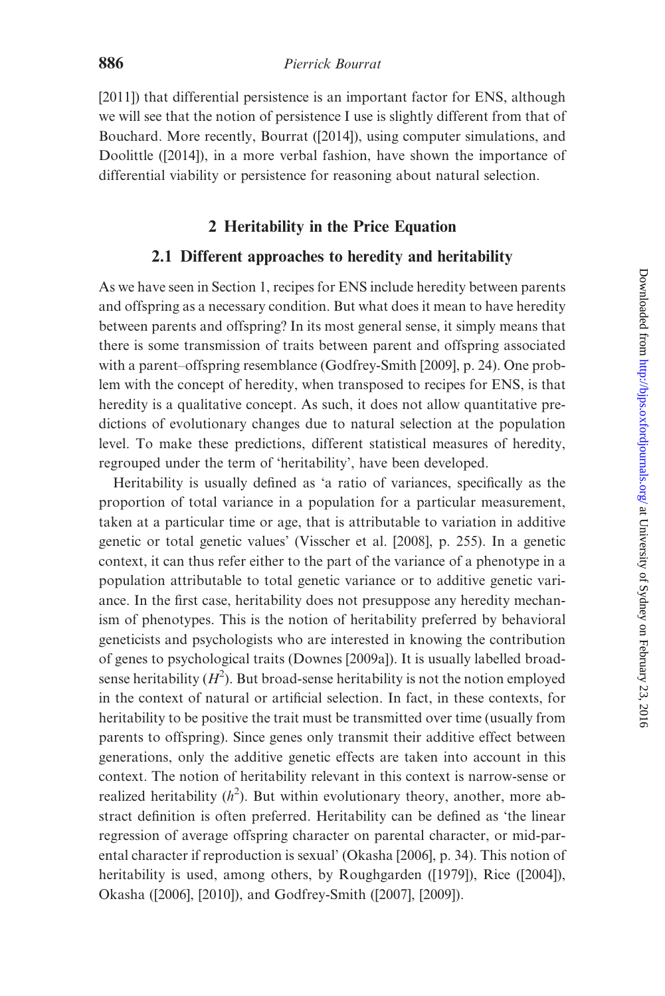[\[2011\]\)](#page-19-0) that differential persistence is an important factor for ENS, although we will see that the notion of persistence I use is slightly different from that of Bouchard. More recently, [Bourrat \(\[2014\]\),](#page-19-0) using computer simulations, and [Doolittle \(\[2014\]\)](#page-19-0), in a more verbal fashion, have shown the importance of differential viability or persistence for reasoning about natural selection.

# 2 Heritability in the Price Equation

## 2.1 Different approaches to heredity and heritability

As we have seen in Section 1, recipes for ENS include heredity between parents and offspring as a necessary condition. But what does it mean to have heredity between parents and offspring? In its most general sense, it simply means that there is some transmission of traits between parent and offspring associated with a parent–offspring resemblance ([Godfrey-Smith \[2009\],](#page-19-0) p. 24). One problem with the concept of heredity, when transposed to recipes for ENS, is that heredity is a qualitative concept. As such, it does not allow quantitative predictions of evolutionary changes due to natural selection at the population level. To make these predictions, different statistical measures of heredity, regrouped under the term of 'heritability', have been developed.

Heritability is usually defined as 'a ratio of variances, specifically as the proportion of total variance in a population for a particular measurement, taken at a particular time or age, that is attributable to variation in additive genetic or total genetic values' [\(Visscher et al. \[2008\],](#page-20-0) p. 255). In a genetic context, it can thus refer either to the part of the variance of a phenotype in a population attributable to total genetic variance or to additive genetic variance. In the first case, heritability does not presuppose any heredity mechanism of phenotypes. This is the notion of heritability preferred by behavioral geneticists and psychologists who are interested in knowing the contribution of genes to psychological traits ([Downes \[2009a\]\)](#page-19-0). It is usually labelled broadsense heritability ( $H^2$ ). But broad-sense heritability is not the notion employed in the context of natural or artificial selection. In fact, in these contexts, for heritability to be positive the trait must be transmitted over time (usually from parents to offspring). Since genes only transmit their additive effect between generations, only the additive genetic effects are taken into account in this context. The notion of heritability relevant in this context is narrow-sense or realized heritability  $(h^2)$ . But within evolutionary theory, another, more abstract definition is often preferred. Heritability can be defined as 'the linear regression of average offspring character on parental character, or mid-parental character if reproduction is sexual' ([Okasha \[2006\],](#page-20-0) p. 34). This notion of heritability is used, among others, by Roughgarden ([\[1979\]](#page-20-0)), Rice ([\[2004\]\)](#page-20-0), Okasha ([\[2006\], \[2010\]](#page-20-0)), and Godfrey-Smith ([\[2007\], \[2009\]](#page-19-0)).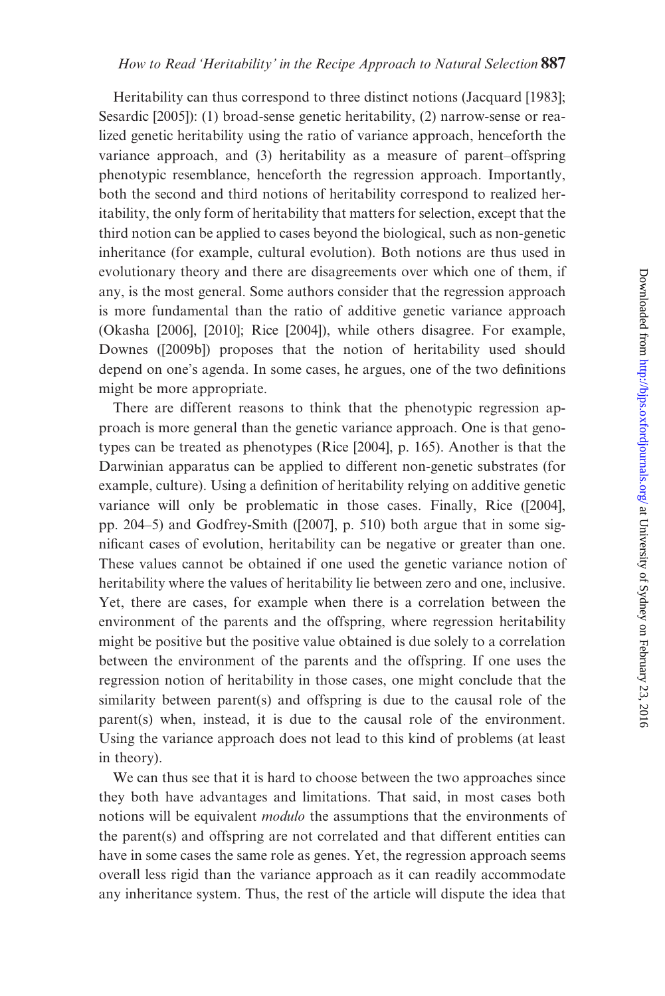Heritability can thus correspond to three distinct notions [\(Jacquard \[1983\];](#page-19-0) [Sesardic \[2005\]\)](#page-20-0): (1) broad-sense genetic heritability, (2) narrow-sense or realized genetic heritability using the ratio of variance approach, henceforth the variance approach, and (3) heritability as a measure of parent–offspring phenotypic resemblance, henceforth the regression approach. Importantly, both the second and third notions of heritability correspond to realized heritability, the only form of heritability that matters for selection, except that the third notion can be applied to cases beyond the biological, such as non-genetic inheritance (for example, cultural evolution). Both notions are thus used in evolutionary theory and there are disagreements over which one of them, if any, is the most general. Some authors consider that the regression approach is more fundamental than the ratio of additive genetic variance approach ([Okasha \[2006\], \[2010\]; Rice \[2004\]](#page-20-0)), while others disagree. For example, Downes ([\[2009b\]\)](#page-19-0) proposes that the notion of heritability used should depend on one's agenda. In some cases, he argues, one of the two definitions might be more appropriate.

There are different reasons to think that the phenotypic regression approach is more general than the genetic variance approach. One is that genotypes can be treated as phenotypes ([Rice \[2004\]](#page-20-0), p. 165). Another is that the Darwinian apparatus can be applied to different non-genetic substrates (for example, culture). Using a definition of heritability relying on additive genetic variance will only be problematic in those cases. Finally, Rice ([\[2004\],](#page-20-0) pp. 204–5) and Godfrey-Smith [\(\[2007\]](#page-19-0), p. 510) both argue that in some significant cases of evolution, heritability can be negative or greater than one. These values cannot be obtained if one used the genetic variance notion of heritability where the values of heritability lie between zero and one, inclusive. Yet, there are cases, for example when there is a correlation between the environment of the parents and the offspring, where regression heritability might be positive but the positive value obtained is due solely to a correlation between the environment of the parents and the offspring. If one uses the regression notion of heritability in those cases, one might conclude that the similarity between parent(s) and offspring is due to the causal role of the parent(s) when, instead, it is due to the causal role of the environment. Using the variance approach does not lead to this kind of problems (at least in theory).

We can thus see that it is hard to choose between the two approaches since they both have advantages and limitations. That said, in most cases both notions will be equivalent modulo the assumptions that the environments of the parent(s) and offspring are not correlated and that different entities can have in some cases the same role as genes. Yet, the regression approach seems overall less rigid than the variance approach as it can readily accommodate any inheritance system. Thus, the rest of the article will dispute the idea that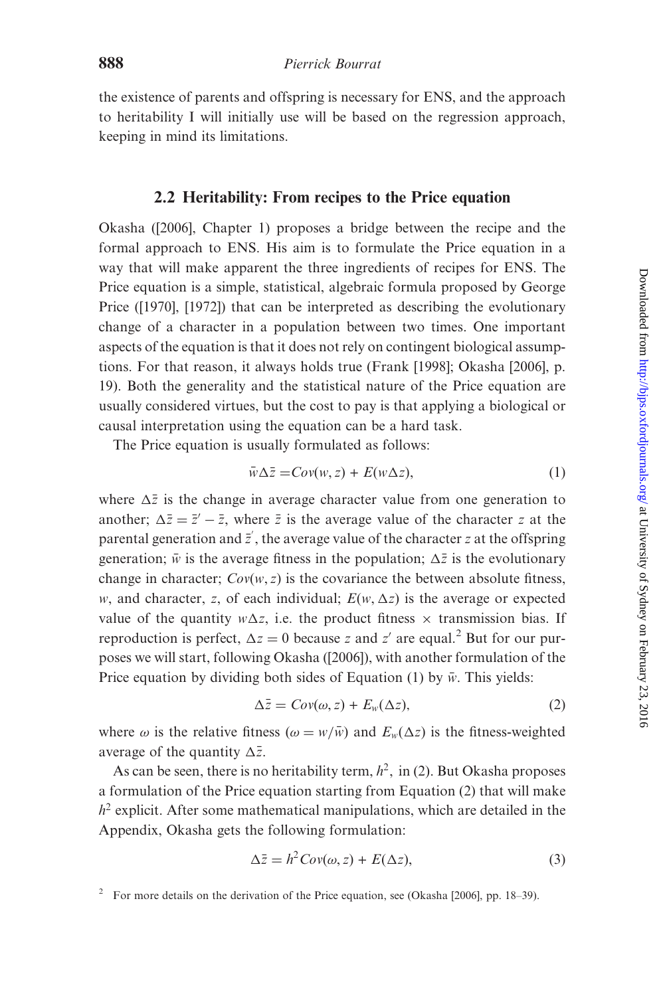<span id="page-5-0"></span>the existence of parents and offspring is necessary for ENS, and the approach to heritability I will initially use will be based on the regression approach, keeping in mind its limitations.

#### 2.2 Heritability: From recipes to the Price equation

Okasha ([\[2006\],](#page-20-0) Chapter 1) proposes a bridge between the recipe and the formal approach to ENS. His aim is to formulate the Price equation in a way that will make apparent the three ingredients of recipes for ENS. The Price equation is a simple, statistical, algebraic formula proposed by George Price ([\[1970\], \[1972\]](#page-20-0)) that can be interpreted as describing the evolutionary change of a character in a population between two times. One important aspects of the equation is that it does not rely on contingent biological assumptions. For that reason, it always holds true [\(Frank \[1998\];](#page-19-0) [Okasha \[2006\]](#page-20-0), p. 19). Both the generality and the statistical nature of the Price equation are usually considered virtues, but the cost to pay is that applying a biological or causal interpretation using the equation can be a hard task.

The Price equation is usually formulated as follows:

$$
\bar{w}\Delta\bar{z} = Cov(w, z) + E(w\Delta z),\tag{1}
$$

where  $\Delta \bar{z}$  is the change in average character value from one generation to another;  $\Delta \bar{z} = \bar{z}' - \bar{z}$ , where  $\bar{z}$  is the average value of the character z at the parental generation and  $\bar{z}^\prime$ , the average value of the character  $z$  at the offspring generation;  $\bar{w}$  is the average fitness in the population;  $\Delta \bar{z}$  is the evolutionary change in character;  $Cov(w, z)$  is the covariance the between absolute fitness, w, and character, z, of each individual;  $E(w, \Delta z)$  is the average or expected value of the quantity  $w\Delta z$ , i.e. the product fitness  $\times$  transmission bias. If reproduction is perfect,  $\Delta z = 0$  because z and z' are equal.<sup>2</sup> But for our purposes we will start, following Okasha [\(\[2006\]](#page-20-0)), with another formulation of the Price equation by dividing both sides of Equation (1) by  $\bar{w}$ . This yields:

$$
\Delta \bar{z} = Cov(\omega, z) + E_w(\Delta z), \tag{2}
$$

where  $\omega$  is the relative fitness ( $\omega = w/\bar{w}$ ) and  $E_w(\Delta z)$  is the fitness-weighted average of the quantity  $\Delta \bar{z}$ .

As can be seen, there is no heritability term,  $h^2$ , in (2). But Okasha proposes a formulation of the Price equation starting from Equation (2) that will make  $h<sup>2</sup>$  explicit. After some mathematical manipulations, which are detailed in the Appendix, Okasha gets the following formulation:

$$
\Delta \bar{z} = h^2 Cov(\omega, z) + E(\Delta z), \tag{3}
$$

<sup>2</sup> For more details on the derivation of the Price equation, see ([Okasha \[2006\]](#page-20-0), pp. 18–39).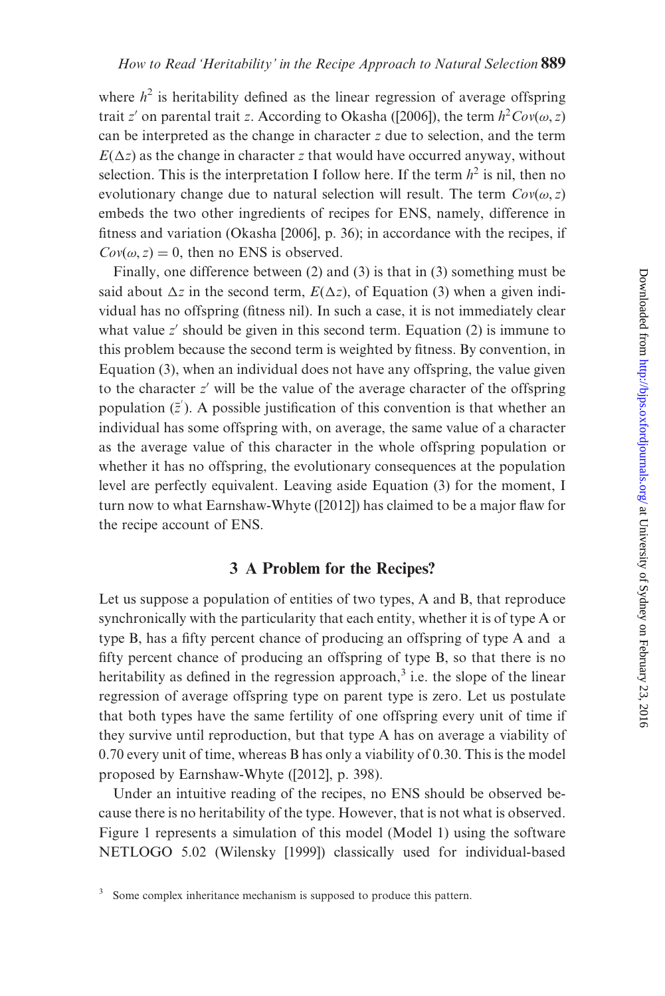where  $h^2$  is heritability defined as the linear regression of average offspring trait z' on parental trait z. According to Okasha [\(\[2006\]](#page-20-0)), the term  $h^2Cov(\omega, z)$ can be interpreted as the change in character z due to selection, and the term  $E(\Delta z)$  as the change in character z that would have occurred anyway, without selection. This is the interpretation I follow here. If the term  $h^2$  is nil, then no evolutionary change due to natural selection will result. The term  $Cov(\omega, z)$ embeds the two other ingredients of recipes for ENS, namely, difference in fitness and variation ([Okasha \[2006\],](#page-20-0) p. 36); in accordance with the recipes, if  $Cov(\omega, z) = 0$ , then no ENS is observed.

Finally, one difference between [\(2\)](#page-5-0) and [\(3\)](#page-5-0) is that in [\(3\)](#page-5-0) something must be said about  $\Delta z$  in the second term,  $E(\Delta z)$ , of [Equation \(3\)](#page-5-0) when a given individual has no offspring (fitness nil). In such a case, it is not immediately clear what value  $z'$  should be given in this second term. [Equation \(2\)](#page-5-0) is immune to this problem because the second term is weighted by fitness. By convention, in [Equation \(3\),](#page-5-0) when an individual does not have any offspring, the value given to the character  $z'$  will be the value of the average character of the offspring population  $(\bar{z}')$ . A possible justification of this convention is that whether an individual has some offspring with, on average, the same value of a character as the average value of this character in the whole offspring population or whether it has no offspring, the evolutionary consequences at the population level are perfectly equivalent. Leaving aside [Equation \(3\)](#page-5-0) for the moment, I turn now to what Earnshaw-Whyte [\(\[2012\]](#page-19-0)) has claimed to be a major flaw for the recipe account of ENS.

#### 3 A Problem for the Recipes?

Let us suppose a population of entities of two types, A and B, that reproduce synchronically with the particularity that each entity, whether it is of type A or type B, has a fifty percent chance of producing an offspring of type A and a fifty percent chance of producing an offspring of type B, so that there is no heritability as defined in the regression approach, $3$  i.e. the slope of the linear regression of average offspring type on parent type is zero. Let us postulate that both types have the same fertility of one offspring every unit of time if they survive until reproduction, but that type A has on average a viability of 0.70 every unit of time, whereas B has only a viability of 0.30. This is the model proposed by Earnshaw-Whyte [\(\[2012\]](#page-19-0), p. 398).

Under an intuitive reading of the recipes, no ENS should be observed because there is no heritability of the type. However, that is not what is observed. [Figure 1](#page-7-0) represents a simulation of this model (Model 1) using the software NETLOGO 5.02 [\(Wilensky \[1999\]](#page-20-0)) classically used for individual-based

<sup>3</sup> Some complex inheritance mechanism is supposed to produce this pattern.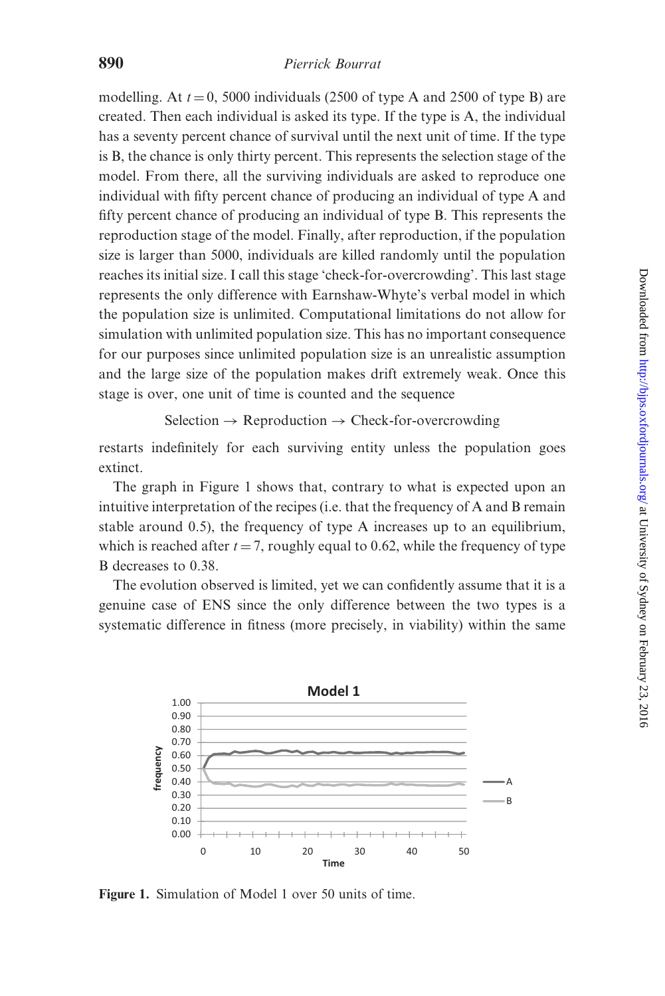<span id="page-7-0"></span>modelling. At  $t = 0$ , 5000 individuals (2500 of type A and 2500 of type B) are created. Then each individual is asked its type. If the type is A, the individual has a seventy percent chance of survival until the next unit of time. If the type is B, the chance is only thirty percent. This represents the selection stage of the model. From there, all the surviving individuals are asked to reproduce one individual with fifty percent chance of producing an individual of type A and fifty percent chance of producing an individual of type B. This represents the reproduction stage of the model. Finally, after reproduction, if the population size is larger than 5000, individuals are killed randomly until the population reaches its initial size. I call this stage 'check-for-overcrowding'. This last stage represents the only difference with Earnshaw-Whyte's verbal model in which the population size is unlimited. Computational limitations do not allow for simulation with unlimited population size. This has no important consequence for our purposes since unlimited population size is an unrealistic assumption and the large size of the population makes drift extremely weak. Once this stage is over, one unit of time is counted and the sequence

 $Selection \rightarrow Reproduction \rightarrow Check-for-overcrowding$ 

restarts indefinitely for each surviving entity unless the population goes extinct.

The graph in Figure 1 shows that, contrary to what is expected upon an intuitive interpretation of the recipes (i.e. that the frequency of A and B remain stable around 0.5), the frequency of type A increases up to an equilibrium, which is reached after  $t = 7$ , roughly equal to 0.62, while the frequency of type B decreases to 0.38.

The evolution observed is limited, yet we can confidently assume that it is a genuine case of ENS since the only difference between the two types is a systematic difference in fitness (more precisely, in viability) within the same



Figure 1. Simulation of Model 1 over 50 units of time.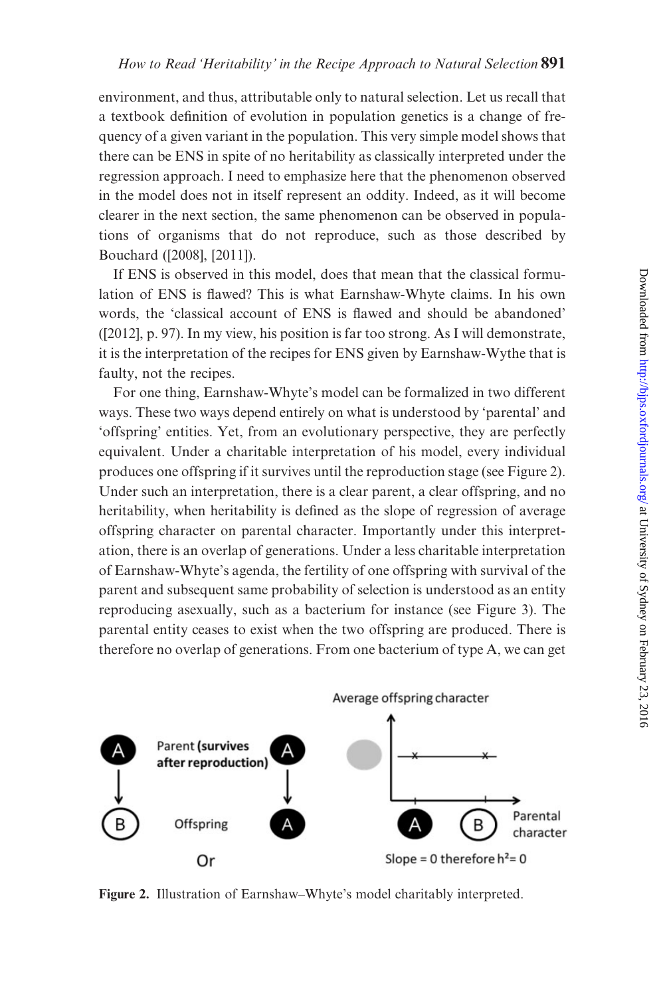environment, and thus, attributable only to natural selection. Let us recall that a textbook definition of evolution in population genetics is a change of frequency of a given variant in the population. This very simple model shows that there can be ENS in spite of no heritability as classically interpreted under the regression approach. I need to emphasize here that the phenomenon observed in the model does not in itself represent an oddity. Indeed, as it will become clearer in the next section, the same phenomenon can be observed in populations of organisms that do not reproduce, such as those described by Bouchard [\(\[2008\], \[2011\]\)](#page-19-0).

If ENS is observed in this model, does that mean that the classical formulation of ENS is flawed? This is what Earnshaw-Whyte claims. In his own words, the 'classical account of ENS is flawed and should be abandoned' ([\[2012\],](#page-19-0) p. 97). In my view, his position is far too strong. As I will demonstrate, it is the interpretation of the recipes for ENS given by Earnshaw-Wythe that is faulty, not the recipes.

For one thing, Earnshaw-Whyte's model can be formalized in two different ways. These two ways depend entirely on what is understood by 'parental' and 'offspring' entities. Yet, from an evolutionary perspective, they are perfectly equivalent. Under a charitable interpretation of his model, every individual produces one offspring if it survives until the reproduction stage (see Figure 2). Under such an interpretation, there is a clear parent, a clear offspring, and no heritability, when heritability is defined as the slope of regression of average offspring character on parental character. Importantly under this interpretation, there is an overlap of generations. Under a less charitable interpretation of Earnshaw-Whyte's agenda, the fertility of one offspring with survival of the parent and subsequent same probability of selection is understood as an entity reproducing asexually, such as a bacterium for instance (see [Figure 3\)](#page-9-0). The parental entity ceases to exist when the two offspring are produced. There is therefore no overlap of generations. From one bacterium of type A, we can get



Figure 2. Illustration of Earnshaw–Whyte's model charitably interpreted.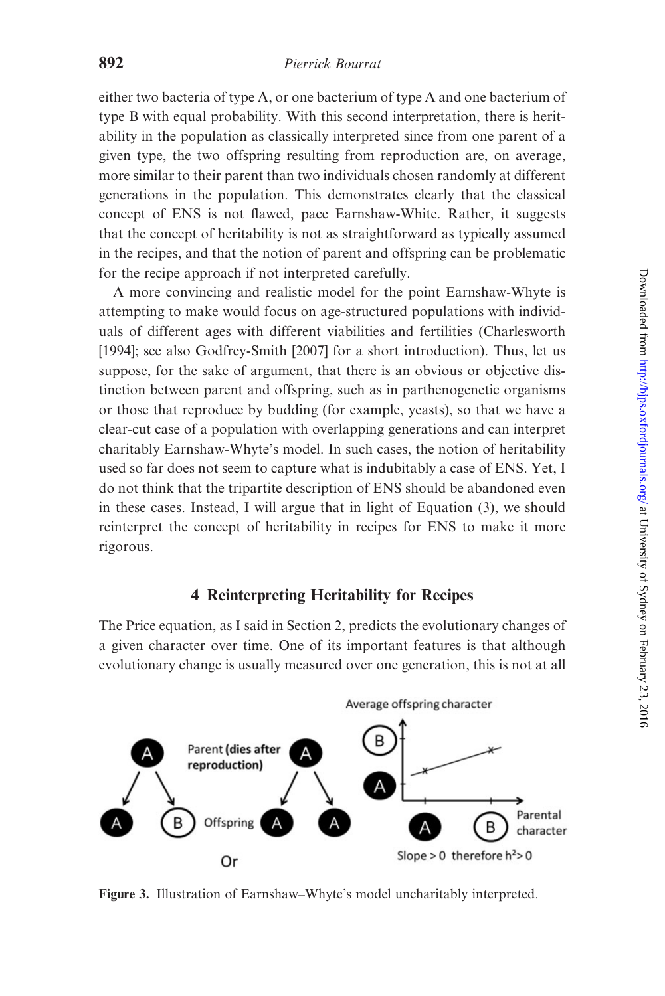<span id="page-9-0"></span>either two bacteria of type A, or one bacterium of type A and one bacterium of type B with equal probability. With this second interpretation, there is heritability in the population as classically interpreted since from one parent of a given type, the two offspring resulting from reproduction are, on average, more similar to their parent than two individuals chosen randomly at different generations in the population. This demonstrates clearly that the classical concept of ENS is not flawed, pace Earnshaw-White. Rather, it suggests that the concept of heritability is not as straightforward as typically assumed in the recipes, and that the notion of parent and offspring can be problematic for the recipe approach if not interpreted carefully.

A more convincing and realistic model for the point Earnshaw-Whyte is attempting to make would focus on age-structured populations with individuals of different ages with different viabilities and fertilities ([Charlesworth](#page-19-0) [\[1994\];](#page-19-0) see also [Godfrey-Smith \[2007\]](#page-19-0) for a short introduction). Thus, let us suppose, for the sake of argument, that there is an obvious or objective distinction between parent and offspring, such as in parthenogenetic organisms or those that reproduce by budding (for example, yeasts), so that we have a clear-cut case of a population with overlapping generations and can interpret charitably Earnshaw-Whyte's model. In such cases, the notion of heritability used so far does not seem to capture what is indubitably a case of ENS. Yet, I do not think that the tripartite description of ENS should be abandoned even in these cases. Instead, I will argue that in light of [Equation \(3\)](#page-5-0), we should reinterpret the concept of heritability in recipes for ENS to make it more rigorous.

## 4 Reinterpreting Heritability for Recipes

The Price equation, as I said in Section 2, predicts the evolutionary changes of a given character over time. One of its important features is that although evolutionary change is usually measured over one generation, this is not at all



Figure 3. Illustration of Earnshaw–Whyte's model uncharitably interpreted.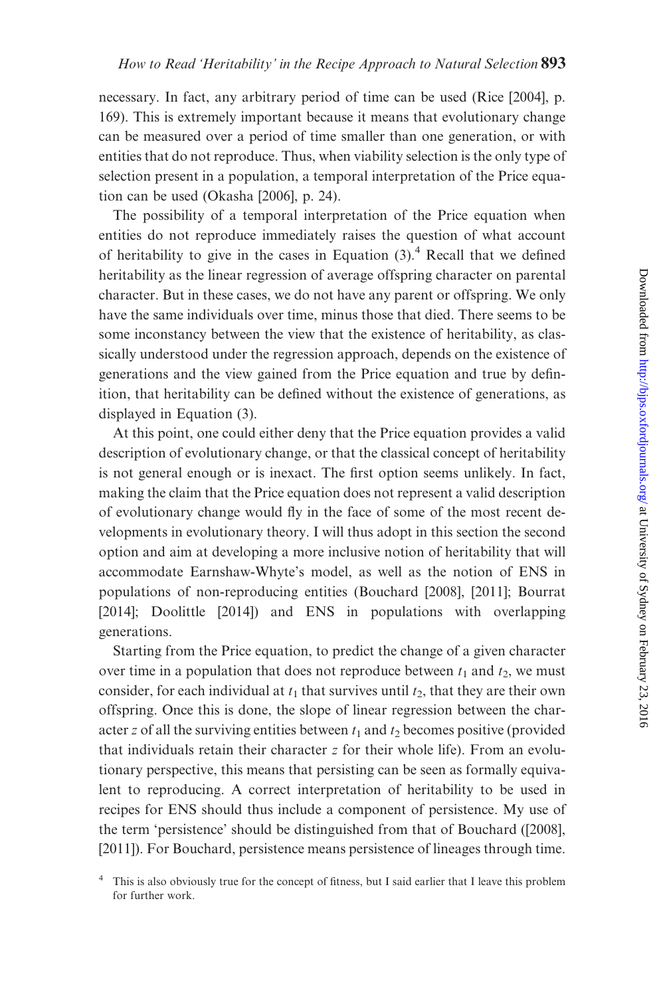#### How to Read 'Heritability' in the Recipe Approach to Natural Selection 893

necessary. In fact, any arbitrary period of time can be used [\(Rice \[2004\],](#page-20-0) p. 169). This is extremely important because it means that evolutionary change can be measured over a period of time smaller than one generation, or with entities that do not reproduce. Thus, when viability selection is the only type of selection present in a population, a temporal interpretation of the Price equation can be used [\(Okasha \[2006\],](#page-20-0) p. 24).

The possibility of a temporal interpretation of the Price equation when entities do not reproduce immediately raises the question of what account of heritability to give in the cases in Equation  $(3)$ .<sup>4</sup> Recall that we defined heritability as the linear regression of average offspring character on parental character. But in these cases, we do not have any parent or offspring. We only have the same individuals over time, minus those that died. There seems to be some inconstancy between the view that the existence of heritability, as classically understood under the regression approach, depends on the existence of generations and the view gained from the Price equation and true by definition, that heritability can be defined without the existence of generations, as displayed in [Equation \(3\).](#page-5-0)

At this point, one could either deny that the Price equation provides a valid description of evolutionary change, or that the classical concept of heritability is not general enough or is inexact. The first option seems unlikely. In fact, making the claim that the Price equation does not represent a valid description of evolutionary change would fly in the face of some of the most recent developments in evolutionary theory. I will thus adopt in this section the second option and aim at developing a more inclusive notion of heritability that will accommodate Earnshaw-Whyte's model, as well as the notion of ENS in populations of non-reproducing entities ([Bouchard \[2008\], \[2011\]; Bourrat](#page-19-0) [\[2014\]; Doolittle \[2014\]\)](#page-19-0) and ENS in populations with overlapping generations.

Starting from the Price equation, to predict the change of a given character over time in a population that does not reproduce between  $t_1$  and  $t_2$ , we must consider, for each individual at  $t_1$  that survives until  $t_2$ , that they are their own offspring. Once this is done, the slope of linear regression between the character z of all the surviving entities between  $t_1$  and  $t_2$  becomes positive (provided that individuals retain their character z for their whole life). From an evolutionary perspective, this means that persisting can be seen as formally equivalent to reproducing. A correct interpretation of heritability to be used in recipes for ENS should thus include a component of persistence. My use of the term 'persistence' should be distinguished from that of Bouchard ([\[2008\],](#page-19-0) [\[2011\]\)](#page-19-0). For Bouchard, persistence means persistence of lineages through time.

This is also obviously true for the concept of fitness, but I said earlier that I leave this problem for further work.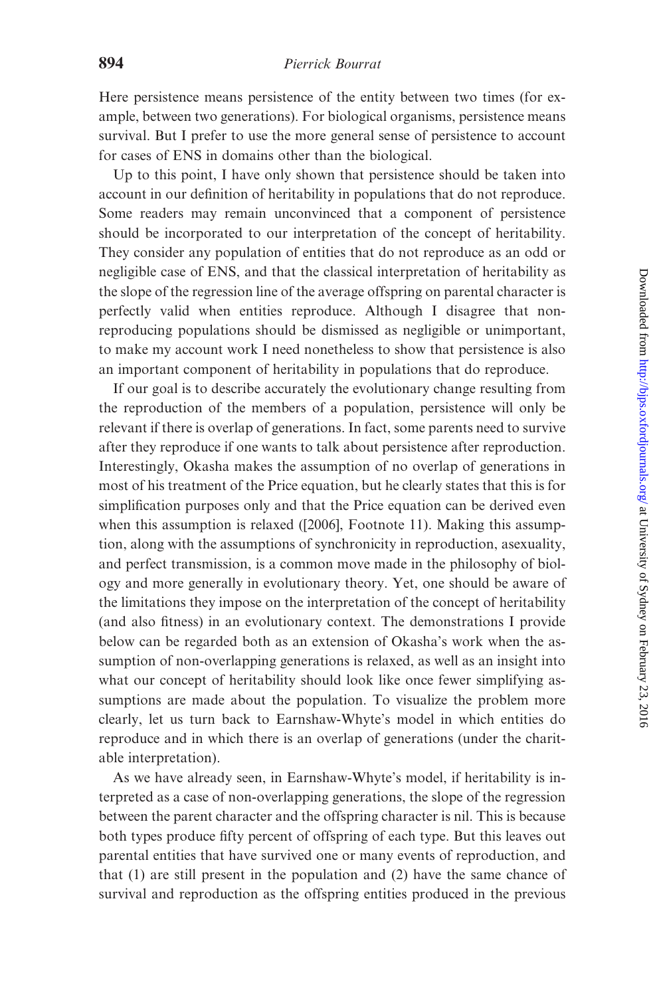Here persistence means persistence of the entity between two times (for example, between two generations). For biological organisms, persistence means survival. But I prefer to use the more general sense of persistence to account for cases of ENS in domains other than the biological.

Up to this point, I have only shown that persistence should be taken into account in our definition of heritability in populations that do not reproduce. Some readers may remain unconvinced that a component of persistence should be incorporated to our interpretation of the concept of heritability. They consider any population of entities that do not reproduce as an odd or negligible case of ENS, and that the classical interpretation of heritability as the slope of the regression line of the average offspring on parental character is perfectly valid when entities reproduce. Although I disagree that nonreproducing populations should be dismissed as negligible or unimportant, to make my account work I need nonetheless to show that persistence is also an important component of heritability in populations that do reproduce.

If our goal is to describe accurately the evolutionary change resulting from the reproduction of the members of a population, persistence will only be relevant if there is overlap of generations. In fact, some parents need to survive after they reproduce if one wants to talk about persistence after reproduction. Interestingly, Okasha makes the assumption of no overlap of generations in most of his treatment of the Price equation, but he clearly states that this is for simplification purposes only and that the Price equation can be derived even when this assumption is relaxed ([\[2006\]](#page-20-0), Footnote 11). Making this assumption, along with the assumptions of synchronicity in reproduction, asexuality, and perfect transmission, is a common move made in the philosophy of biology and more generally in evolutionary theory. Yet, one should be aware of the limitations they impose on the interpretation of the concept of heritability (and also fitness) in an evolutionary context. The demonstrations I provide below can be regarded both as an extension of Okasha's work when the assumption of non-overlapping generations is relaxed, as well as an insight into what our concept of heritability should look like once fewer simplifying assumptions are made about the population. To visualize the problem more clearly, let us turn back to Earnshaw-Whyte's model in which entities do reproduce and in which there is an overlap of generations (under the charitable interpretation).

As we have already seen, in Earnshaw-Whyte's model, if heritability is interpreted as a case of non-overlapping generations, the slope of the regression between the parent character and the offspring character is nil. This is because both types produce fifty percent of offspring of each type. But this leaves out parental entities that have survived one or many events of reproduction, and that (1) are still present in the population and (2) have the same chance of survival and reproduction as the offspring entities produced in the previous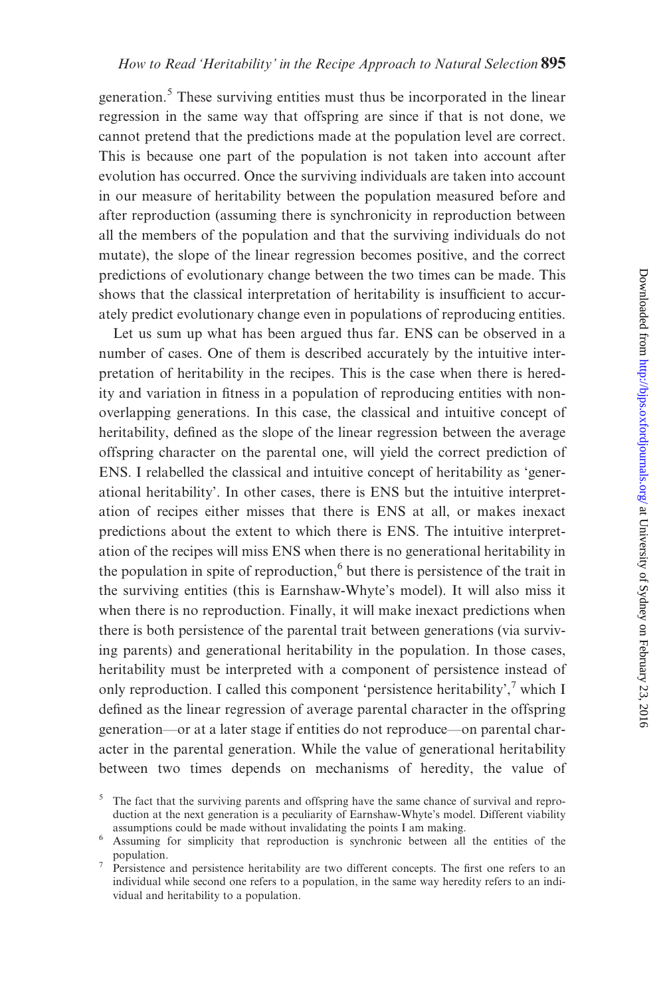generation.<sup>5</sup> These surviving entities must thus be incorporated in the linear regression in the same way that offspring are since if that is not done, we cannot pretend that the predictions made at the population level are correct. This is because one part of the population is not taken into account after evolution has occurred. Once the surviving individuals are taken into account in our measure of heritability between the population measured before and after reproduction (assuming there is synchronicity in reproduction between all the members of the population and that the surviving individuals do not mutate), the slope of the linear regression becomes positive, and the correct predictions of evolutionary change between the two times can be made. This shows that the classical interpretation of heritability is insufficient to accurately predict evolutionary change even in populations of reproducing entities.

Let us sum up what has been argued thus far. ENS can be observed in a number of cases. One of them is described accurately by the intuitive interpretation of heritability in the recipes. This is the case when there is heredity and variation in fitness in a population of reproducing entities with nonoverlapping generations. In this case, the classical and intuitive concept of heritability, defined as the slope of the linear regression between the average offspring character on the parental one, will yield the correct prediction of ENS. I relabelled the classical and intuitive concept of heritability as 'generational heritability'. In other cases, there is ENS but the intuitive interpretation of recipes either misses that there is ENS at all, or makes inexact predictions about the extent to which there is ENS. The intuitive interpretation of the recipes will miss ENS when there is no generational heritability in the population in spite of reproduction, $6$  but there is persistence of the trait in the surviving entities (this is Earnshaw-Whyte's model). It will also miss it when there is no reproduction. Finally, it will make inexact predictions when there is both persistence of the parental trait between generations (via surviving parents) and generational heritability in the population. In those cases, heritability must be interpreted with a component of persistence instead of only reproduction. I called this component 'persistence heritability', $\frac{7}{7}$  which I defined as the linear regression of average parental character in the offspring generation—or at a later stage if entities do not reproduce—on parental character in the parental generation. While the value of generational heritability between two times depends on mechanisms of heredity, the value of

<sup>&</sup>lt;sup>5</sup> The fact that the surviving parents and offspring have the same chance of survival and reproduction at the next generation is a peculiarity of Earnshaw-Whyte's model. Different viability assumptions could be made without invalidating the points I am making.

 $6$  Assuming for simplicity that reproduction is synchronic between all the entities of the population.

Persistence and persistence heritability are two different concepts. The first one refers to an individual while second one refers to a population, in the same way heredity refers to an individual and heritability to a population.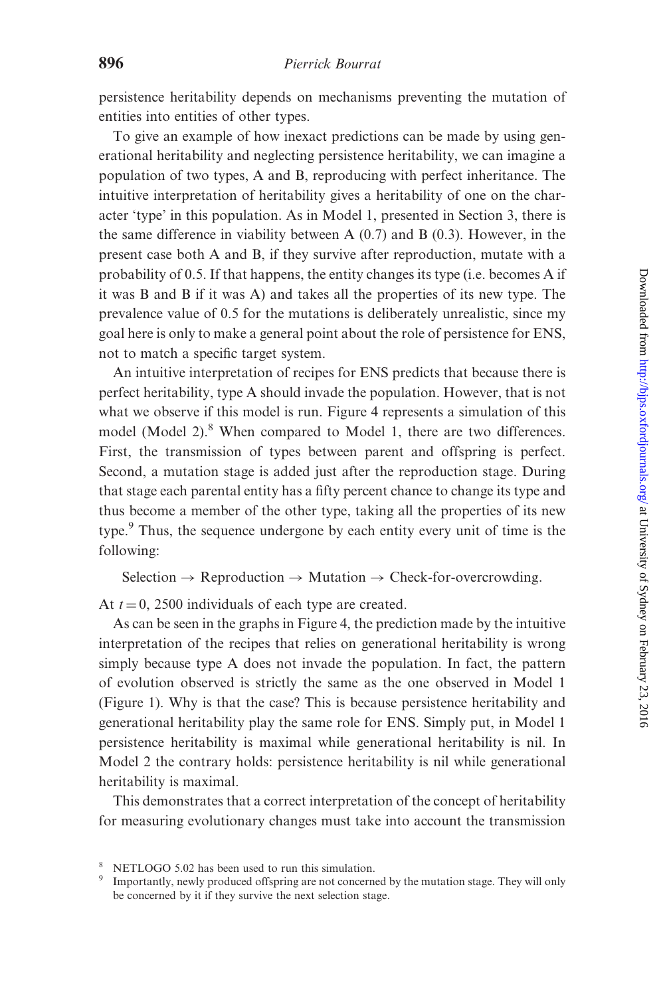persistence heritability depends on mechanisms preventing the mutation of entities into entities of other types.

To give an example of how inexact predictions can be made by using generational heritability and neglecting persistence heritability, we can imagine a population of two types, A and B, reproducing with perfect inheritance. The intuitive interpretation of heritability gives a heritability of one on the character 'type' in this population. As in Model 1, presented in Section 3, there is the same difference in viability between A (0.7) and B (0.3). However, in the present case both A and B, if they survive after reproduction, mutate with a probability of 0.5. If that happens, the entity changes its type (i.e. becomes A if it was B and B if it was A) and takes all the properties of its new type. The prevalence value of 0.5 for the mutations is deliberately unrealistic, since my goal here is only to make a general point about the role of persistence for ENS, not to match a specific target system.

An intuitive interpretation of recipes for ENS predicts that because there is perfect heritability, type A should invade the population. However, that is not what we observe if this model is run. Figure 4 represents a simulation of this model (Model 2).<sup>8</sup> When compared to Model 1, there are two differences. First, the transmission of types between parent and offspring is perfect. Second, a mutation stage is added just after the reproduction stage. During that stage each parental entity has a fifty percent chance to change its type and thus become a member of the other type, taking all the properties of its new type.<sup>9</sup> Thus, the sequence undergone by each entity every unit of time is the following:

 $Selection \rightarrow Reproduction \rightarrow Mutation \rightarrow Check-for-overcrowding.$ 

At  $t = 0$ , 2500 individuals of each type are created.

As can be seen in the graphs in [Figure 4](#page-14-0), the prediction made by the intuitive interpretation of the recipes that relies on generational heritability is wrong simply because type A does not invade the population. In fact, the pattern of evolution observed is strictly the same as the one observed in Model 1 ([Figure 1](#page-7-0)). Why is that the case? This is because persistence heritability and generational heritability play the same role for ENS. Simply put, in Model 1 persistence heritability is maximal while generational heritability is nil. In Model 2 the contrary holds: persistence heritability is nil while generational heritability is maximal.

This demonstrates that a correct interpretation of the concept of heritability for measuring evolutionary changes must take into account the transmission

NETLOGO 5.02 has been used to run this simulation.<br>Importantly, newly produced offspring are not concerned by the mutation stage. They will only be concerned by it if they survive the next selection stage.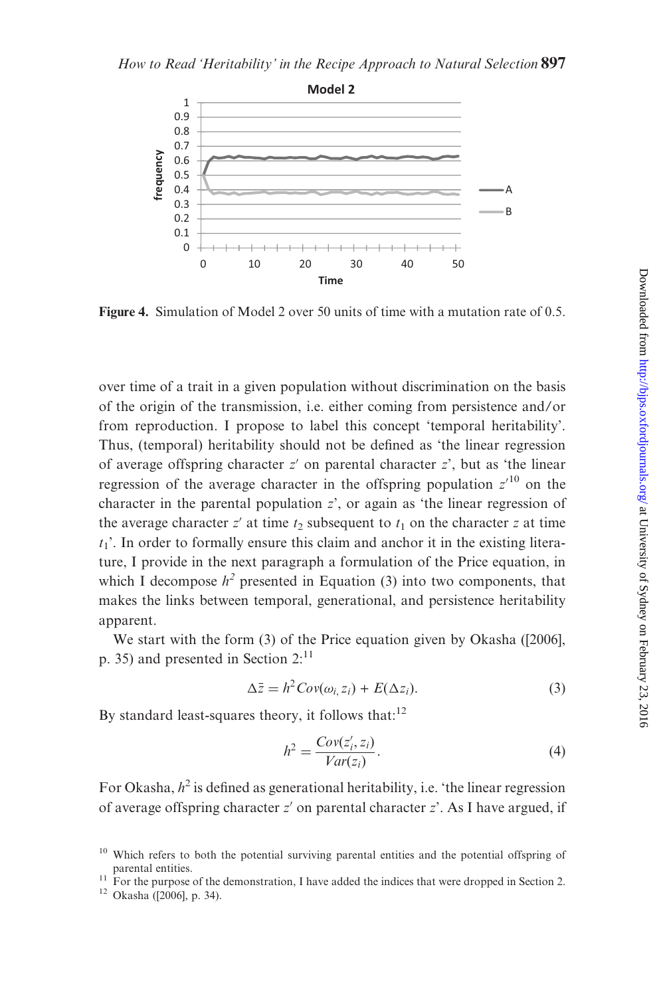<span id="page-14-0"></span>

Figure 4. Simulation of Model 2 over 50 units of time with a mutation rate of 0.5.

over time of a trait in a given population without discrimination on the basis of the origin of the transmission, i.e. either coming from persistence and/or from reproduction. I propose to label this concept 'temporal heritability'. Thus, (temporal) heritability should not be defined as 'the linear regression of average offspring character  $z'$  on parental character  $z'$ , but as 'the linear regression of the average character in the offspring population  $z<sup>10</sup>$  on the character in the parental population  $z'$ , or again as 'the linear regression of the average character z' at time  $t_2$  subsequent to  $t_1$  on the character z at time  $t_1$ . In order to formally ensure this claim and anchor it in the existing literature, I provide in the next paragraph a formulation of the Price equation, in which I decompose  $h^2$  presented in [Equation \(3\)](#page-5-0) into two components, that makes the links between temporal, generational, and persistence heritability apparent.

We start with the form [\(3\)](#page-5-0) of the Price equation given by Okasha ([\[2006\],](#page-20-0) p. 35) and presented in Section  $2$ <sup>11</sup>

$$
\Delta \bar{z} = h^2 Cov(\omega_{i, z_i}) + E(\Delta z_i). \tag{3}
$$

By standard least-squares theory, it follows that: $^{12}$ 

$$
h^2 = \frac{Cov(z'_i, z_i)}{Var(z_i)}.\tag{4}
$$

For Okasha,  $h^2$  is defined as generational heritability, i.e. 'the linear regression of average offspring character  $z'$  on parental character  $z'$ . As I have argued, if

<sup>&</sup>lt;sup>10</sup> Which refers to both the potential surviving parental entities and the potential offspring of parental entities.<br><sup>11</sup> For the purpose of the demonstration, I have added the indices that were dropped in Section 2.<br><sup>12</sup> Okasha [\(\[2006\]](#page-20-0), p. 34).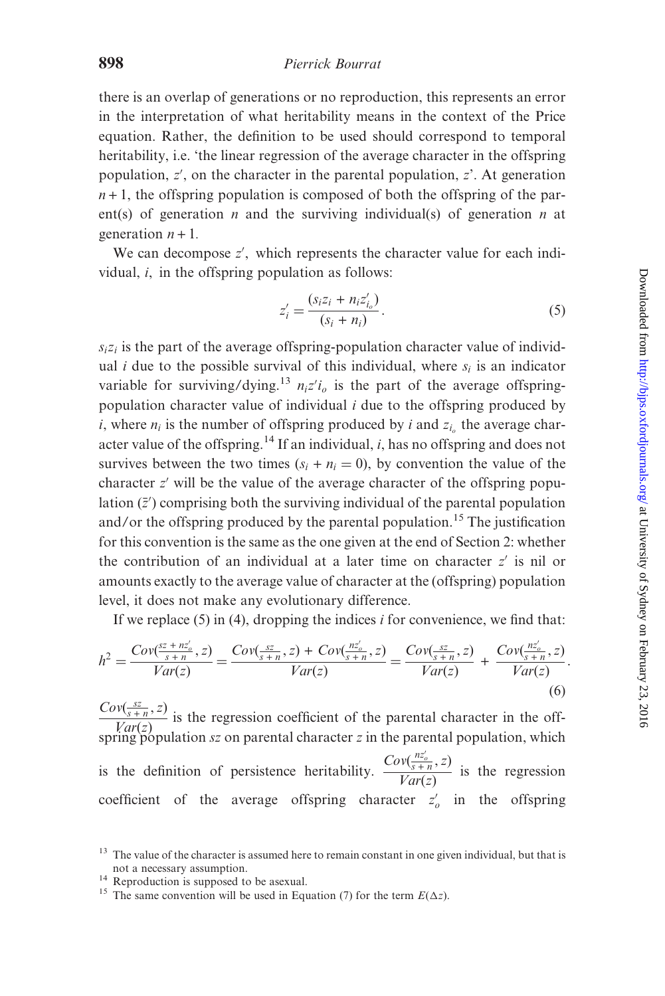<span id="page-15-0"></span>there is an overlap of generations or no reproduction, this represents an error in the interpretation of what heritability means in the context of the Price equation. Rather, the definition to be used should correspond to temporal heritability, i.e. 'the linear regression of the average character in the offspring population,  $z'$ , on the character in the parental population,  $z'$ . At generation  $n+1$ , the offspring population is composed of both the offspring of the parent(s) of generation *n* and the surviving individual(s) of generation *n* at generation  $n + 1$ .

We can decompose  $z'$ , which represents the character value for each individual,  $i$ , in the offspring population as follows:

$$
z'_{i} = \frac{(s_{i}z_{i} + n_{i}z'_{i_{o}})}{(s_{i} + n_{i})}.
$$
\n(5)

 $s_i z_i$  is the part of the average offspring-population character value of individual *i* due to the possible survival of this individual, where  $s_i$  is an indicator variable for surviving/dying.<sup>13</sup>  $n_i z' i_o$  is the part of the average offspringpopulation character value of individual  $i$  due to the offspring produced by i, where  $n_i$  is the number of offspring produced by i and  $z_i$  the average character value of the offspring.<sup>14</sup> If an individual,  $i$ , has no offspring and does not survives between the two times  $(s_i + n_i = 0)$ , by convention the value of the character  $z'$  will be the value of the average character of the offspring population  $(\bar{z}')$  comprising both the surviving individual of the parental population and/or the offspring produced by the parental population.<sup>15</sup> The justification for this convention is the same as the one given at the end of Section 2: whether the contribution of an individual at a later time on character  $z'$  is nil or amounts exactly to the average value of character at the (offspring) population level, it does not make any evolutionary difference.

If we replace  $(5)$  in  $(4)$ , dropping the indices *i* for convenience, we find that:

$$
h^{2} = \frac{Cov(\frac{sz + nz'_{o}}{s+n}, z)}{Var(z)} = \frac{Cov(\frac{sz}{s+n}, z) + Cov(\frac{nz'_{o}}{s+n}, z)}{Var(z)} = \frac{Cov(\frac{sz}{s+n}, z)}{Var(z)} + \frac{Cov(\frac{nz'_{o}}{s+n}, z)}{Var(z)}.
$$
\n(6)

 $\frac{Cov(\frac{SZ}{S+n}, z)}{Var(z)}$  is the regression coefficient of the parental character in the off-<br>spring population sz on parental character z in the parental population, which is the definition of persistence heritability.  $\frac{Cov(\frac{nz'_o}{s+n}, z)}{Var(z)}$  is the regression coefficient of the average offspring character  $z'_{o}$  in the offspring

<sup>&</sup>lt;sup>13</sup> The value of the character is assumed here to remain constant in one given individual, but that is not a necessary assumption.<br><sup>14</sup> Reproduction is supposed to be asexual.<br><sup>15</sup> The same convention will be used in [Equation \(7\)](#page-16-0) for the term  $E(\Delta z)$ .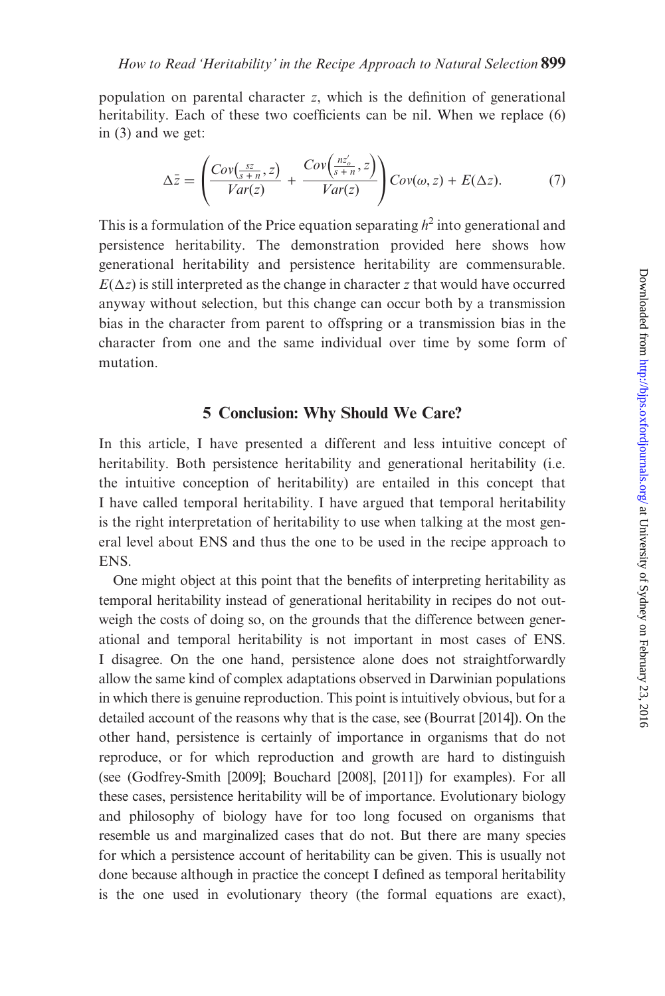<span id="page-16-0"></span>population on parental character z, which is the definition of generational heritability. Each of these two coefficients can be nil. When we replace [\(6\)](#page-15-0) in [\(3\)](#page-5-0) and we get:

$$
\Delta \bar{z} = \left( \frac{Cov(\frac{sz}{s+n}, z)}{Var(z)} + \frac{Cov(\frac{nz'}{s+n}, z)}{Var(z)} \right) Cov(\omega, z) + E(\Delta z). \tag{7}
$$

This is a formulation of the Price equation separating  $h^2$  into generational and persistence heritability. The demonstration provided here shows how generational heritability and persistence heritability are commensurable.  $E(\Delta z)$  is still interpreted as the change in character z that would have occurred anyway without selection, but this change can occur both by a transmission bias in the character from parent to offspring or a transmission bias in the character from one and the same individual over time by some form of mutation.

#### 5 Conclusion: Why Should We Care?

In this article, I have presented a different and less intuitive concept of heritability. Both persistence heritability and generational heritability (i.e. the intuitive conception of heritability) are entailed in this concept that I have called temporal heritability. I have argued that temporal heritability is the right interpretation of heritability to use when talking at the most general level about ENS and thus the one to be used in the recipe approach to ENS.

One might object at this point that the benefits of interpreting heritability as temporal heritability instead of generational heritability in recipes do not outweigh the costs of doing so, on the grounds that the difference between generational and temporal heritability is not important in most cases of ENS. I disagree. On the one hand, persistence alone does not straightforwardly allow the same kind of complex adaptations observed in Darwinian populations in which there is genuine reproduction. This point is intuitively obvious, but for a detailed account of the reasons why that is the case, see [\(Bourrat \[2014\]\)](#page-19-0). On the other hand, persistence is certainly of importance in organisms that do not reproduce, or for which reproduction and growth are hard to distinguish (see [\(Godfrey-Smith \[2009\]; Bouchard \[2008\]](#page-19-0), [\[2011\]\)](#page-19-0) for examples). For all these cases, persistence heritability will be of importance. Evolutionary biology and philosophy of biology have for too long focused on organisms that resemble us and marginalized cases that do not. But there are many species for which a persistence account of heritability can be given. This is usually not done because although in practice the concept I defined as temporal heritability is the one used in evolutionary theory (the formal equations are exact),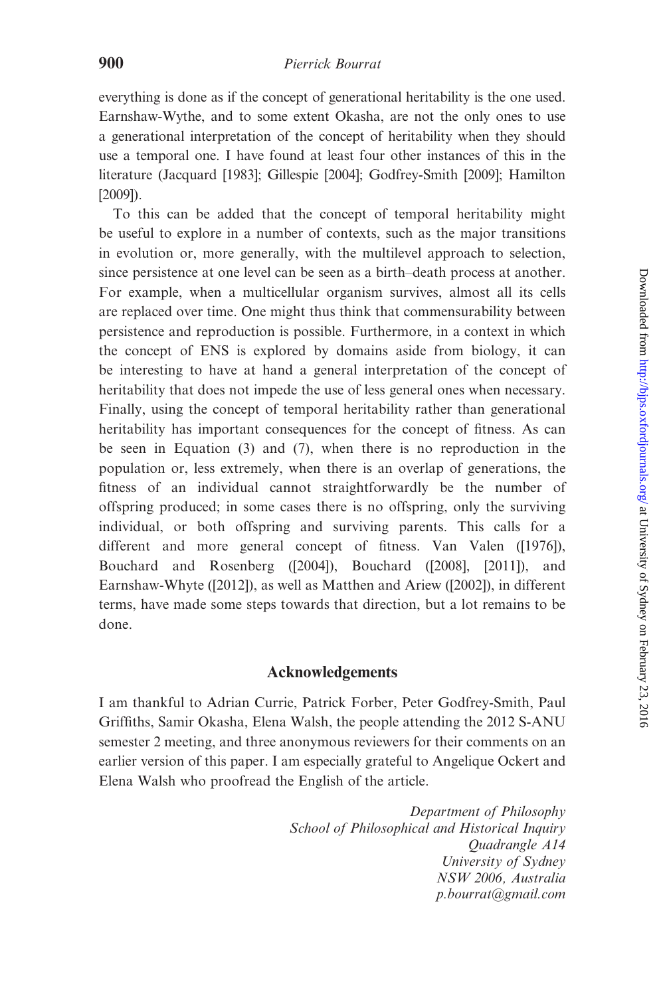everything is done as if the concept of generational heritability is the one used. Earnshaw-Wythe, and to some extent Okasha, are not the only ones to use a generational interpretation of the concept of heritability when they should use a temporal one. I have found at least four other instances of this in the literature [\(Jacquard \[1983\]; Gillespie](#page-19-0) [2004]; [Godfrey-Smith \[2009\]](#page-19-0); [Hamilton](#page-19-0) [\[2009\]\)](#page-19-0).

To this can be added that the concept of temporal heritability might be useful to explore in a number of contexts, such as the major transitions in evolution or, more generally, with the multilevel approach to selection, since persistence at one level can be seen as a birth–death process at another. For example, when a multicellular organism survives, almost all its cells are replaced over time. One might thus think that commensurability between persistence and reproduction is possible. Furthermore, in a context in which the concept of ENS is explored by domains aside from biology, it can be interesting to have at hand a general interpretation of the concept of heritability that does not impede the use of less general ones when necessary. Finally, using the concept of temporal heritability rather than generational heritability has important consequences for the concept of fitness. As can be seen in [Equation \(3\)](#page-5-0) and [\(7\)](#page-16-0), when there is no reproduction in the population or, less extremely, when there is an overlap of generations, the fitness of an individual cannot straightforwardly be the number of offspring produced; in some cases there is no offspring, only the surviving individual, or both offspring and surviving parents. This calls for a different and more general concept of fitness. Van Valen ([\[1976\]\)](#page-20-0), Bouchard and Rosenberg [\(\[2004\]](#page-19-0)), Bouchard [\(\[2008\]](#page-19-0), [\[2011\]](#page-19-0)), and Earnshaw-Whyte ([\[2012\]\)](#page-19-0), as well as Matthen and Ariew ([\[2002\]\)](#page-20-0), in different terms, have made some steps towards that direction, but a lot remains to be done.

#### Acknowledgements

I am thankful to Adrian Currie, Patrick Forber, Peter Godfrey-Smith, Paul Griffiths, Samir Okasha, Elena Walsh, the people attending the 2012 S-ANU semester 2 meeting, and three anonymous reviewers for their comments on an earlier version of this paper. I am especially grateful to Angelique Ockert and Elena Walsh who proofread the English of the article.

> Department of Philosophy School of Philosophical and Historical Inquiry Quadrangle A14 University of Sydney NSW 2006, Australia p.bourrat@gmail.com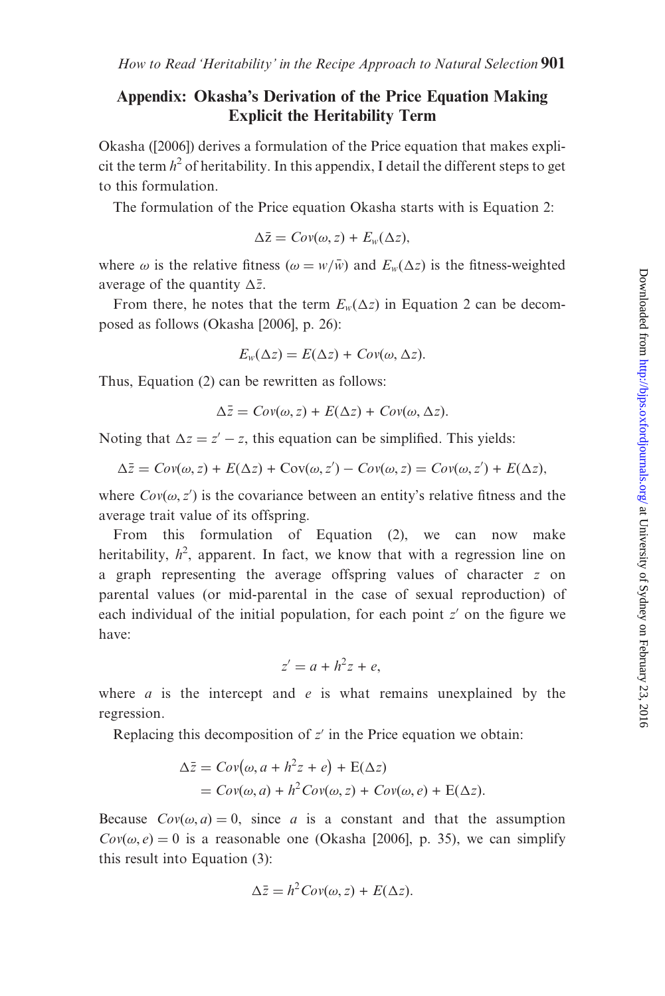# Appendix: Okasha's Derivation of the Price Equation Making Explicit the Heritability Term

Okasha [\(\[2006\]](#page-20-0)) derives a formulation of the Price equation that makes explicit the term  $h^2$  of heritability. In this appendix, I detail the different steps to get to this formulation.

The formulation of the Price equation Okasha starts with is [Equation 2](#page-5-0):

$$
\Delta \bar{z} = Cov(\omega, z) + E_w(\Delta z),
$$

where  $\omega$  is the relative fitness ( $\omega = w/\bar{w}$ ) and  $E_w(\Delta z)$  is the fitness-weighted average of the quantity  $\Delta \bar{z}$ .

From there, he notes that the term  $E_w(\Delta z)$  in [Equation 2](#page-5-0) can be decomposed as follows [\(Okasha \[2006\]](#page-20-0), p. 26):

$$
E_w(\Delta z) = E(\Delta z) + Cov(\omega, \Delta z).
$$

Thus, [Equation \(2\)](#page-5-0) can be rewritten as follows:

$$
\Delta \bar{z} = Cov(\omega, z) + E(\Delta z) + Cov(\omega, \Delta z).
$$

Noting that  $\Delta z = z' - z$ , this equation can be simplified. This yields:

$$
\Delta \bar{z} = Cov(\omega, z) + E(\Delta z) + Cov(\omega, z') - Cov(\omega, z) = Cov(\omega, z') + E(\Delta z),
$$

where  $Cov(\omega, z')$  is the covariance between an entity's relative fitness and the average trait value of its offspring.

From this formulation of [Equation \(2\)](#page-5-0), we can now make heritability,  $h^2$ , apparent. In fact, we know that with a regression line on a graph representing the average offspring values of character z on parental values (or mid-parental in the case of sexual reproduction) of each individual of the initial population, for each point  $z'$  on the figure we have:

$$
z'=a+h^2z+e,
$$

where  $a$  is the intercept and  $e$  is what remains unexplained by the regression.

Replacing this decomposition of  $z'$  in the Price equation we obtain:

$$
\Delta \bar{z} = Cov(\omega, a + h^2 z + e) + E(\Delta z)
$$
  
=  $Cov(\omega, a) + h^2 Cov(\omega, z) + Cov(\omega, e) + E(\Delta z)$ .

Because  $Cov(\omega, a) = 0$ , since a is a constant and that the assumption  $Cov(\omega, e) = 0$  is a reasonable one ([Okasha \[2006\]](#page-20-0), p. 35), we can simplify this result into [Equation \(3\):](#page-5-0)

$$
\Delta \bar{z} = h^2 Cov(\omega, z) + E(\Delta z).
$$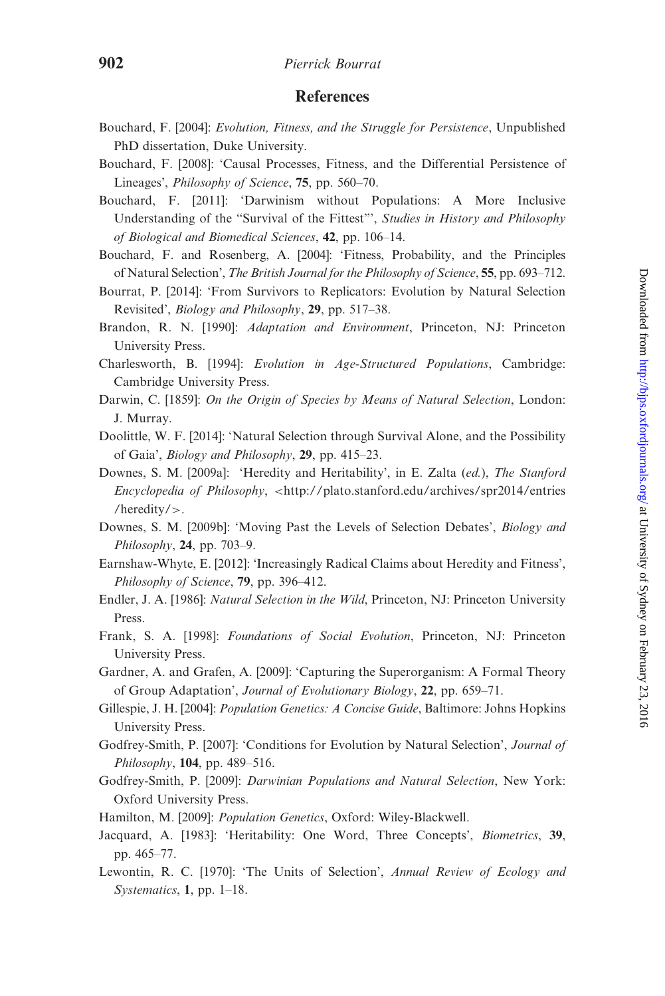#### **References**

- <span id="page-19-0"></span>Bouchard, F. [2004]: Evolution, Fitness, and the Struggle for Persistence, Unpublished PhD dissertation, Duke University.
- Bouchard, F. [2008]: 'Causal Processes, Fitness, and the Differential Persistence of Lineages', Philosophy of Science, 75, pp. 560–70.
- Bouchard, F. [2011]: 'Darwinism without Populations: A More Inclusive Understanding of the "Survival of the Fittest"', Studies in History and Philosophy of Biological and Biomedical Sciences, 42, pp. 106–14.
- Bouchard, F. and Rosenberg, A. [2004]: 'Fitness, Probability, and the Principles of Natural Selection', The British Journal for the Philosophy of Science, 55, pp. 693–712.
- Bourrat, P. [2014]: 'From Survivors to Replicators: Evolution by Natural Selection Revisited', Biology and Philosophy, 29, pp. 517–38.
- Brandon, R. N. [1990]: Adaptation and Environment, Princeton, NJ: Princeton University Press.
- Charlesworth, B. [1994]: Evolution in Age-Structured Populations, Cambridge: Cambridge University Press.
- Darwin, C. [1859]: On the Origin of Species by Means of Natural Selection, London: J. Murray.
- Doolittle, W. F. [2014]: 'Natural Selection through Survival Alone, and the Possibility of Gaia', Biology and Philosophy, 29, pp. 415–23.
- Downes, S. M. [2009a]: 'Heredity and Heritability', in E. Zalta (ed.), The Stanford Encyclopedia of Philosophy, <[http://plato.stanford.edu/archives/spr2014/entries](http://plato.stanford.edu/archives/spr2014/entries/heredity/) [/heredity/](http://plato.stanford.edu/archives/spr2014/entries/heredity/)>.
- Downes, S. M. [2009b]: 'Moving Past the Levels of Selection Debates', Biology and Philosophy,  $24$ , pp. 703–9.
- Earnshaw-Whyte, E. [2012]: 'Increasingly Radical Claims about Heredity and Fitness', Philosophy of Science, 79, pp. 396–412.
- Endler, J. A. [1986]: Natural Selection in the Wild, Princeton, NJ: Princeton University Press.
- Frank, S. A. [1998]: Foundations of Social Evolution, Princeton, NJ: Princeton University Press.
- Gardner, A. and Grafen, A. [2009]: 'Capturing the Superorganism: A Formal Theory of Group Adaptation', Journal of Evolutionary Biology, 22, pp. 659–71.
- Gillespie, J. H. [2004]: Population Genetics: A Concise Guide, Baltimore: Johns Hopkins University Press.
- Godfrey-Smith, P. [2007]: 'Conditions for Evolution by Natural Selection', Journal of Philosophy, 104, pp. 489-516.
- Godfrey-Smith, P. [2009]: Darwinian Populations and Natural Selection, New York: Oxford University Press.
- Hamilton, M. [2009]: Population Genetics, Oxford: Wiley-Blackwell.
- Jacquard, A. [1983]: 'Heritability: One Word, Three Concepts', Biometrics, 39, pp. 465–77.
- Lewontin, R. C. [1970]: 'The Units of Selection', Annual Review of Ecology and Systematics, 1, pp. 1–18.